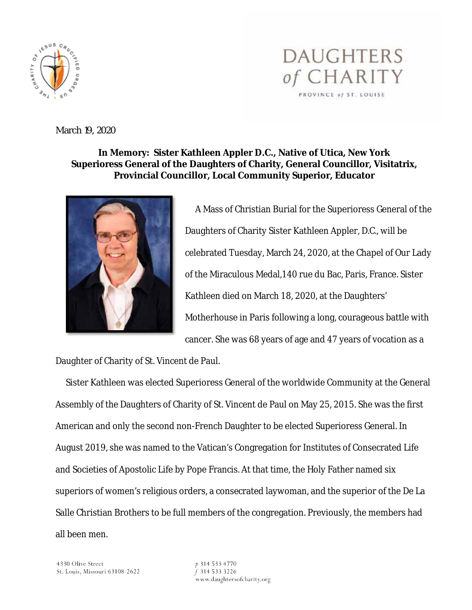

March 19, 2020

## **In Memory: Sister Kathleen Appler D.C., Native of Utica, New York Superioress General of the Daughters of Charity, General Councillor, Visitatrix, Provincial Councillor, Local Community Superior, Educator**



 A Mass of Christian Burial for the Superioress General of the Daughters of Charity Sister Kathleen Appler, D.C., will be celebrated Tuesday, March 24, 2020, at the Chapel of Our Lady of the Miraculous Medal,140 rue du Bac, Paris, France. Sister Kathleen died on March 18, 2020, at the Daughters' Motherhouse in Paris following a long, courageous battle with cancer. She was 68 years of age and 47 years of vocation as a

**DAUGHTERS** 

*of* CHARITY

PROVINCE of ST. LOUISE

Daughter of Charity of St. Vincent de Paul.

 Sister Kathleen was elected Superioress General of the worldwide Community at the General Assembly of the Daughters of Charity of St. Vincent de Paul on May 25, 2015. She was the first American and only the second non-French Daughter to be elected Superioress General. In August 2019, she was named to the Vatican's Congregation for Institutes of Consecrated Life and Societies of Apostolic Life by Pope Francis. At that time, the Holy Father named six superiors of women's religious orders, a consecrated laywoman, and the superior of the De La Salle Christian Brothers to be full members of the congregation. Previously, the members had all been men.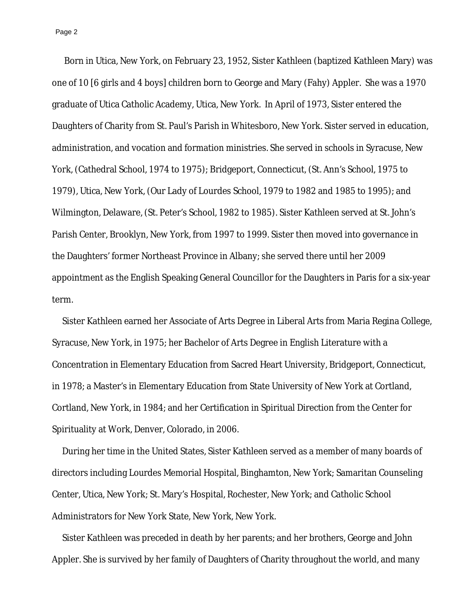Page 2

 Born in Utica, New York, on February 23, 1952, Sister Kathleen (baptized Kathleen Mary) was one of 10 [6 girls and 4 boys] children born to George and Mary (Fahy) Appler. She was a 1970 graduate of Utica Catholic Academy, Utica, New York. In April of 1973, Sister entered the Daughters of Charity from St. Paul's Parish in Whitesboro, New York. Sister served in education, administration, and vocation and formation ministries. She served in schools in Syracuse, New York, (Cathedral School, 1974 to 1975); Bridgeport, Connecticut, (St. Ann's School, 1975 to 1979), Utica, New York, (Our Lady of Lourdes School, 1979 to 1982 and 1985 to 1995); and Wilmington, Delaware, (St. Peter's School, 1982 to 1985). Sister Kathleen served at St. John's Parish Center, Brooklyn, New York, from 1997 to 1999. Sister then moved into governance in the Daughters' former Northeast Province in Albany; she served there until her 2009 appointment as the English Speaking General Councillor for the Daughters in Paris for a six-year term.

 Sister Kathleen earned her Associate of Arts Degree in Liberal Arts from Maria Regina College, Syracuse, New York, in 1975; her Bachelor of Arts Degree in English Literature with a Concentration in Elementary Education from Sacred Heart University, Bridgeport, Connecticut, in 1978; a Master's in Elementary Education from State University of New York at Cortland, Cortland, New York, in 1984; and her Certification in Spiritual Direction from the Center for Spirituality at Work, Denver, Colorado, in 2006.

 During her time in the United States, Sister Kathleen served as a member of many boards of directors including Lourdes Memorial Hospital, Binghamton, New York; Samaritan Counseling Center, Utica, New York; St. Mary's Hospital, Rochester, New York; and Catholic School Administrators for New York State, New York, New York.

 Sister Kathleen was preceded in death by her parents; and her brothers, George and John Appler. She is survived by her family of Daughters of Charity throughout the world, and many